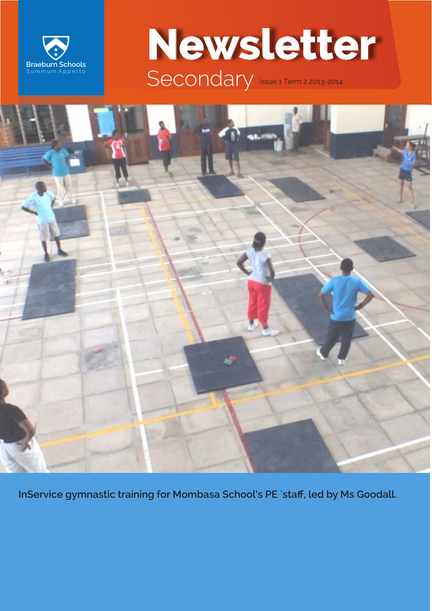

# **Newsletter** Secondary Issue 1 Term 2 2013-2014

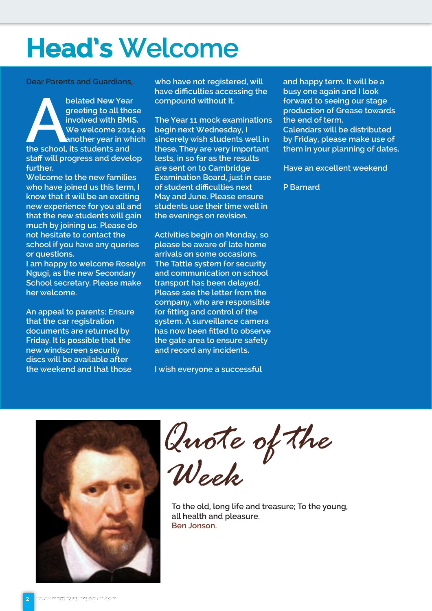### **Head's** Welcome

**Dear Parents and Guardians,**

**belated New Year greeting to all those involved with BMIS**<br>
We welcome 2014<br>
another year in white school, its students and **greeting to all those involved with BMIS. We welcome 2014 as another year in which staff will progress and develop further.** 

**Welcome to the new families who have joined us this term, I know that it will be an exciting new experience for you all and that the new students will gain much by joining us. Please do not hesitate to contact the school if you have any queries or questions.**

**I am happy to welcome Roselyn Ngugi, as the new Secondary School secretary. Please make her welcome.**

**An appeal to parents: Ensure that the car registration documents are returned by Friday. It is possible that the new windscreen security discs will be available after the weekend and that those** 

**who have not registered, will have difficulties accessing the compound without it.**

**The Year 11 mock examinations begin next Wednesday, I sincerely wish students well in these. They are very important tests, in so far as the results are sent on to Cambridge Examination Board, just in case of student difficulties next May and June. Please ensure students use their time well in the evenings on revision.**

**Activities begin on Monday, so please be aware of late home arrivals on some occasions. The Tattle system for security and communication on school transport has been delayed. Please see the letter from the company, who are responsible for fitting and control of the system. A surveillance camera has now been fitted to observe the gate area to ensure safety and record any incidents.**

**I wish everyone a successful** 

**and happy term. It will be a busy one again and I look forward to seeing our stage production of Grease towards the end of term. Calendars will be distributed by Friday, please make use of them in your planning of dates.**

**Have an excellent weekend**

**P Barnard**



*Quote of the Week*

**To the old, long life and treasure; To the young, all health and pleasure. Ben Jonson.**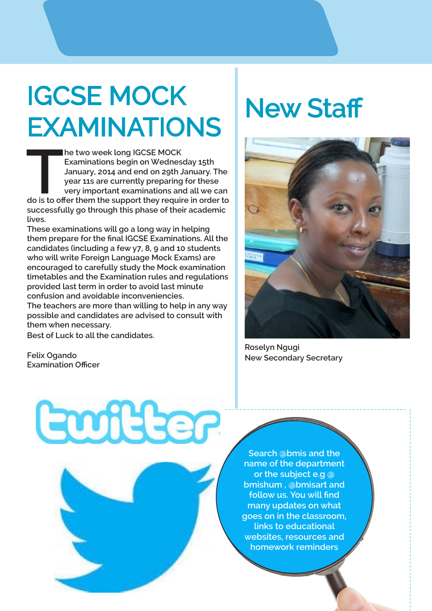# IGCSE MOCK EXAMINATIONS

**THE SUBDE SEX SERVIGHT SUBDE THE SUBDE THE SUBDE THE VEH SURVEY THE VEH THE VEH THE VEH THE VEH THE VEH THE VEH THE VEH THE VEH THE VEH THE VEH THE VEH THE VEH THE VEH THE VEH THE VEH THE VEH THE VEH THE VEH THE VEH THE V he two week long IGCSE MOCK Examinations begin on Wednesday 15th January, 2014 and end on 29th January. The year 11s are currently preparing for these very important examinations and all we can successfully go through this phase of their academic lives.**

**These examinations will go a long way in helping them prepare for the final IGCSE Examinations. All the candidates (including a few y7, 8, 9 and 10 students who will write Foreign Language Mock Exams) are encouraged to carefully study the Mock examination timetables and the Examination rules and regulations provided last term in order to avoid last minute confusion and avoidable inconveniencies. The teachers are more than willing to help in any way possible and candidates are advised to consult with them when necessary.**

**Best of Luck to all the candidates.**

**Felix Ogando Examination Officer**

## **New Staff**



**Roselyn Ngugi New Secondary Secretary**

Guiller

**Search @bmis and the name of the department or the subject e.g @ bmishum , @bmisart and follow us. You will find many updates on what goes on in the classroom, links to educational websites, resources and homework reminders**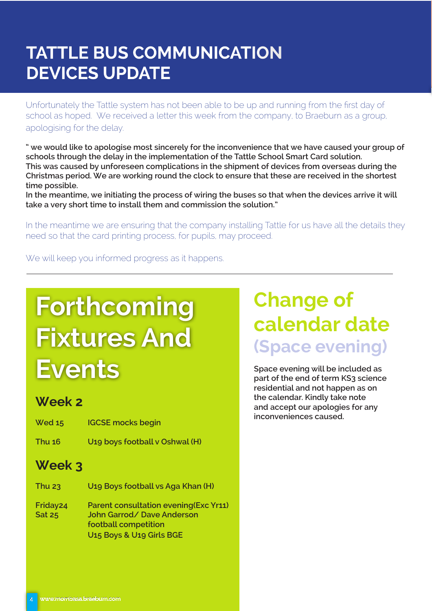### **TATTLE BUS COMMUNICATION DEVICES UPDATE**

Unfortunately the Tattle system has not been able to be up and running from the first day of school as hoped. We received a letter this week from the company, to Braeburn as a group, apologising for the delay.

**" we would like to apologise most sincerely for the inconvenience that we have caused your group of schools through the delay in the implementation of the Tattle School Smart Card solution. This was caused by unforeseen complications in the shipment of devices from overseas during the Christmas period. We are working round the clock to ensure that these are received in the shortest time possible.**

**In the meantime, we initiating the process of wiring the buses so that when the devices arrive it will take a very short time to install them and commission the solution."**

In the meantime we are ensuring that the company installing Tattle for us have all the details they need so that the card printing process, for pupils, may proceed.

We will keep you informed progress as it happens.

# **Forthcoming Fixtures And Events**

### **Week 2**

- **Wed 15 IGCSE mocks begin**
- **Thu 16 U19 boys football v Oshwal (H)**

### **Week 3**

| <b>Thu 23</b>                         | U <sub>19</sub> Boys football vs Aga Khan (H)                                                                                                   |
|---------------------------------------|-------------------------------------------------------------------------------------------------------------------------------------------------|
| Friday <sub>24</sub><br><b>Sat 25</b> | Parent consultation evening (Exc Yr11)<br>John Garrod/Dave Anderson<br>football competition<br>U <sub>15</sub> Boys & U <sub>19</sub> Girls BGE |

### **Change of calendar date (Space evening)**

**Space evening will be included as part of the end of term KS3 science residential and not happen as on the calendar. Kindly take note and accept our apologies for any inconveniences caused.**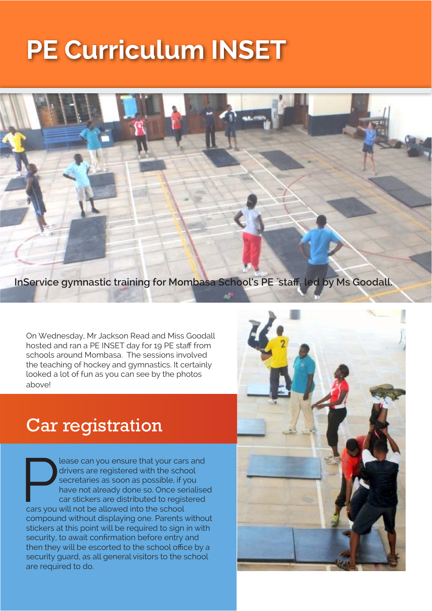## **PE Curriculum INSET**

**InService gymnastic training for Mombasa School's PE `staff, led by Ms Goodall.**

On Wednesday, Mr Jackson Read and Miss Goodall hosted and ran a PE INSET day for 19 PE staff from schools around Mombasa. The sessions involved the teaching of hockey and gymnastics. It certainly looked a lot of fun as you can see by the photos above!

### Car registration

lease can you ensure that your cars and<br>drivers are registered with the school<br>secretaries as soon as possible, if you<br>have not already done so. Once serialise<br>car stickers are distributed to registered<br>cars you will not b drivers are registered with the school secretaries as soon as possible, if you have not already done so. Once serialised car stickers are distributed to registered compound without displaying one. Parents without stickers at this point will be required to sign in with security, to await confirmation before entry and then they will be escorted to the school office by a security guard, as all general visitors to the school are required to do.